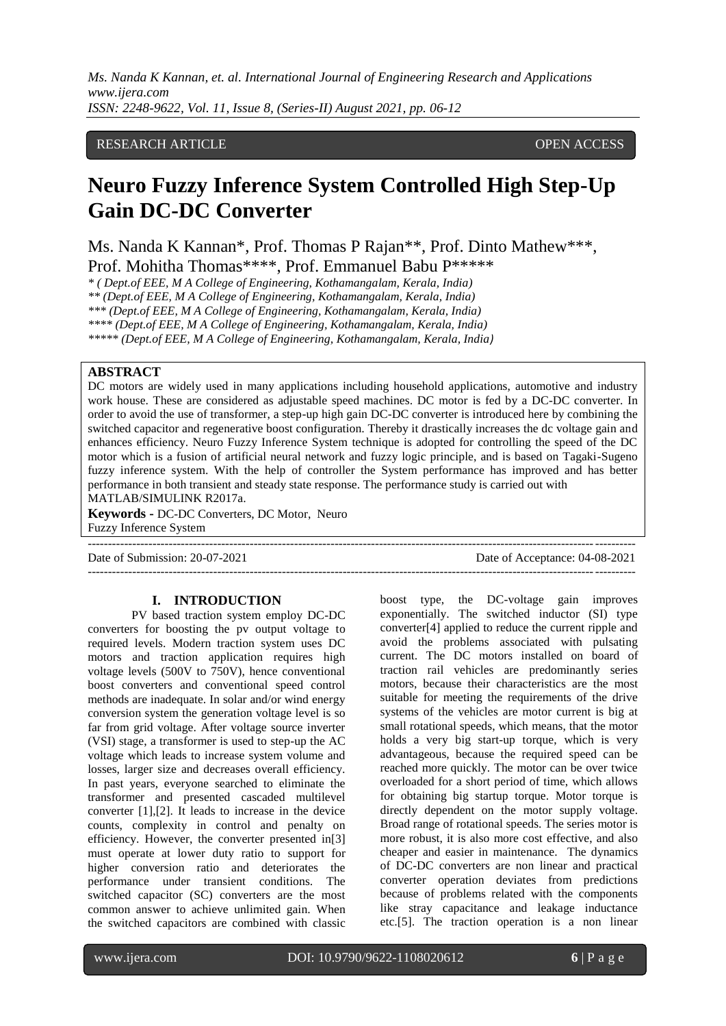# RESEARCH ARTICLE **CONSERVERS** OPEN ACCESS

# **Neuro Fuzzy Inference System Controlled High Step-Up Gain DC-DC Converter**

Ms. Nanda K Kannan\*, Prof. Thomas P Rajan\*\*, Prof. Dinto Mathew\*\*\*, Prof. Mohitha Thomas\*\*\*\*, Prof. Emmanuel Babu P\*\*\*\*\*

*\* ( Dept.of EEE, M A College of Engineering, Kothamangalam, Kerala, India)*

*\*\* (Dept.of EEE, M A College of Engineering, Kothamangalam, Kerala, India)*

*\*\*\* (Dept.of EEE, M A College of Engineering, Kothamangalam, Kerala, India)*

*\*\*\*\* (Dept.of EEE, M A College of Engineering, Kothamangalam, Kerala, India)*

*\*\*\*\*\* (Dept.of EEE, M A College of Engineering, Kothamangalam, Kerala, India)*

# **ABSTRACT**

DC motors are widely used in many applications including household applications, automotive and industry work house. These are considered as adjustable speed machines. DC motor is fed by a DC-DC converter. In order to avoid the use of transformer, a step-up high gain DC-DC converter is introduced here by combining the switched capacitor and regenerative boost configuration. Thereby it drastically increases the dc voltage gain and enhances efficiency. Neuro Fuzzy Inference System technique is adopted for controlling the speed of the DC motor which is a fusion of artificial neural network and fuzzy logic principle, and is based on Tagaki-Sugeno fuzzy inference system. With the help of controller the System performance has improved and has better performance in both transient and steady state response. The performance study is carried out with MATLAB/SIMULINK R2017a.

---------------------------------------------------------------------------------------------------------------------------------------

**Keywords -** DC-DC Converters, DC Motor, Neuro Fuzzy Inference System

Date of Submission: 20-07-2021 Date of Acceptance: 04-08-2021

---------------------------------------------------------------------------------------------------------------------------------------

#### **I. INTRODUCTION**

PV based traction system employ DC-DC converters for boosting the pv output voltage to required levels. Modern traction system uses DC motors and traction application requires high voltage levels (500V to 750V), hence conventional boost converters and conventional speed control methods are inadequate. In solar and/or wind energy conversion system the generation voltage level is so far from grid voltage. After voltage source inverter (VSI) stage, a transformer is used to step-up the AC voltage which leads to increase system volume and losses, larger size and decreases overall efficiency. In past years, everyone searched to eliminate the transformer and presented cascaded multilevel converter [1],[2]. It leads to increase in the device counts, complexity in control and penalty on efficiency. However, the converter presented in[3] must operate at lower duty ratio to support for higher conversion ratio and deteriorates the performance under transient conditions. The switched capacitor (SC) converters are the most common answer to achieve unlimited gain. When the switched capacitors are combined with classic

boost type, the DC-voltage gain improves exponentially. The switched inductor (SI) type converter[4] applied to reduce the current ripple and avoid the problems associated with pulsating current. The DC motors installed on board of traction rail vehicles are predominantly series motors, because their characteristics are the most suitable for meeting the requirements of the drive systems of the vehicles are motor current is big at small rotational speeds, which means, that the motor holds a very big start-up torque, which is very advantageous, because the required speed can be reached more quickly. The motor can be over twice overloaded for a short period of time, which allows for obtaining big startup torque. Motor torque is directly dependent on the motor supply voltage. Broad range of rotational speeds. The series motor is more robust, it is also more cost effective, and also cheaper and easier in maintenance. The dynamics of DC-DC converters are non linear and practical converter operation deviates from predictions because of problems related with the components like stray capacitance and leakage inductance etc.[5]. The traction operation is a non linear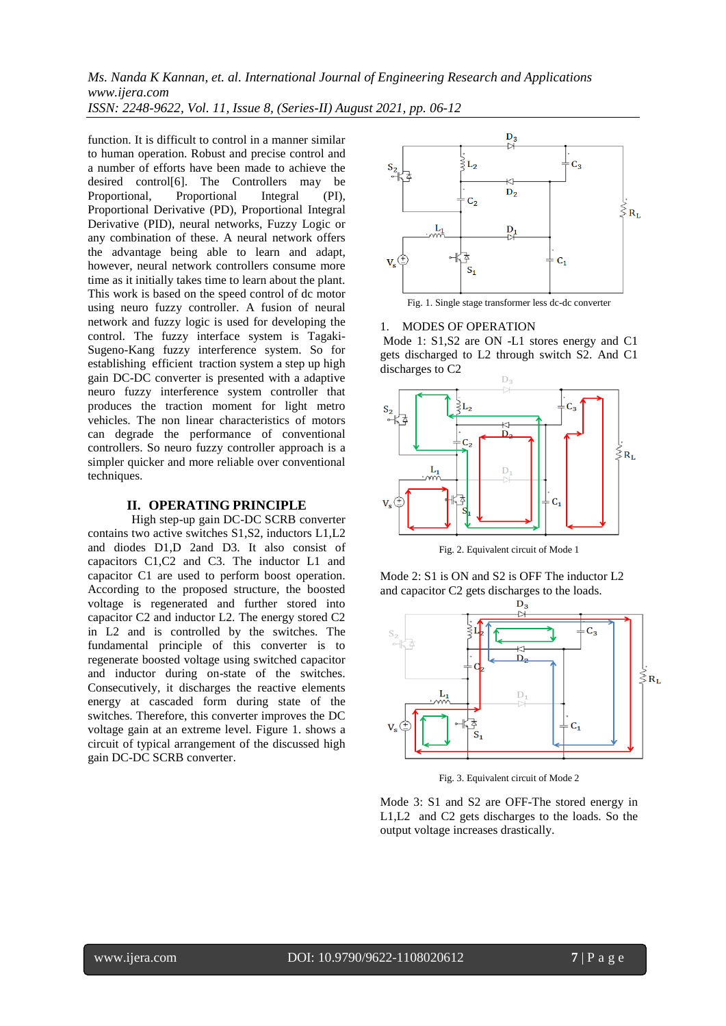*Ms. Nanda K Kannan, et. al. International Journal of Engineering Research and Applications www.ijera.com*

*ISSN: 2248-9622, Vol. 11, Issue 8, (Series-II) August 2021, pp. 06-12*

function. It is difficult to control in a manner similar to human operation. Robust and precise control and a number of efforts have been made to achieve the desired control[6]. The Controllers may be<br>Proportional. Proportional Integral (PI). Proportional Integral (PI), Proportional Derivative (PD), Proportional Integral Derivative (PID), neural networks, Fuzzy Logic or any combination of these. A neural network offers the advantage being able to learn and adapt, however, neural network controllers consume more time as it initially takes time to learn about the plant. This work is based on the speed control of dc motor using neuro fuzzy controller. A fusion of neural network and fuzzy logic is used for developing the control. The fuzzy interface system is Tagaki-Sugeno-Kang fuzzy interference system. So for establishing efficient traction system a step up high gain DC-DC converter is presented with a adaptive neuro fuzzy interference system controller that produces the traction moment for light metro vehicles. The non linear characteristics of motors can degrade the performance of conventional controllers. So neuro fuzzy controller approach is a simpler quicker and more reliable over conventional techniques.

## **II. OPERATING PRINCIPLE**

 High step-up gain DC-DC SCRB converter contains two active switches S1,S2, inductors L1,L2 and diodes D1,D 2and D3. It also consist of capacitors C1,C2 and C3. The inductor L1 and capacitor C1 are used to perform boost operation. According to the proposed structure, the boosted voltage is regenerated and further stored into capacitor C2 and inductor L2. The energy stored C2 in L2 and is controlled by the switches. The fundamental principle of this converter is to regenerate boosted voltage using switched capacitor and inductor during on-state of the switches. Consecutively, it discharges the reactive elements energy at cascaded form during state of the switches. Therefore, this converter improves the DC voltage gain at an extreme level. Figure 1. shows a circuit of typical arrangement of the discussed high gain DC-DC SCRB converter.



Fig. 1. Single stage transformer less dc-dc converter

## 1. MODES OF OPERATION

Mode 1: S1,S2 are ON -L1 stores energy and C1 gets discharged to L2 through switch S2. And C1 discharges to C2



Fig. 2. Equivalent circuit of Mode 1

Mode 2: S1 is ON and S2 is OFF The inductor L2



Fig. 3. Equivalent circuit of Mode 2

Mode 3: S1 and S2 are OFF-The stored energy in L1,L2 and C2 gets discharges to the loads. So the output voltage increases drastically.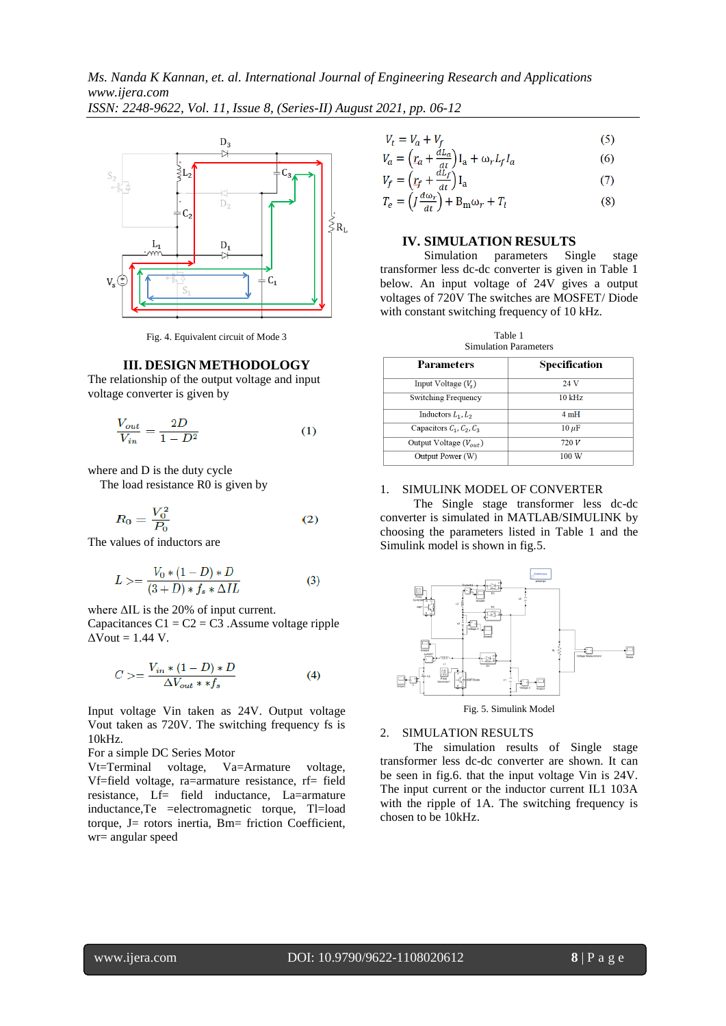

Fig. 4. Equivalent circuit of Mode 3

#### **III. DESIGN METHODOLOGY**

The relationship of the output voltage and input voltage converter is given by

$$
\frac{V_{out}}{V_{in}} = \frac{2D}{1 - D^2} \tag{1}
$$

where and D is the duty cycle

The load resistance R0 is given by

$$
R_0 = \frac{V_0^2}{P_0} \tag{2}
$$

The values of inductors are

$$
L > = \frac{V_0 * (1 - D) * D}{(3 + D) * f_s * \Delta IL} \tag{3}
$$

where ΔIL is the 20% of input current.

Capacitances  $C1 = C2 = C3$ . Assume voltage ripple  $\Delta$ Vout = 1.44 V.

$$
C \ge \frac{V_{in} * (1 - D) * D}{\Delta V_{out} * * f_s} \tag{4}
$$

Input voltage Vin taken as 24V. Output voltage Vout taken as 720V. The switching frequency fs is 10kHz.

For a simple DC Series Motor

Vt=Terminal voltage, Va=Armature voltage, Vf=field voltage, ra=armature resistance, rf= field resistance, Lf= field inductance, La=armature inductance,Te =electromagnetic torque, Tl=load torque, J= rotors inertia, Bm= friction Coefficient, wr= angular speed

$$
V_t = V_a + V_f \tag{5}
$$

$$
V_a = \left(r_a + \frac{dL_a}{dt}\right)I_a + \omega_r L_f I_a \tag{6}
$$

$$
V_f = \left(r_f + \frac{a_{Lf}}{dt}\right)I_a\tag{7}
$$

$$
T_e = \left( J \frac{d\omega_r}{dt} \right) + B_m \omega_r + T_l \tag{8}
$$

#### **IV. SIMULATION RESULTS**

Simulation parameters Single stage transformer less dc-dc converter is given in Table 1 below. An input voltage of 24V gives a output voltages of 720V The switches are MOSFET/ Diode with constant switching frequency of 10 kHz.

Table 1 Simulation Parameters

| <b>Parameters</b>          | Specification |  |
|----------------------------|---------------|--|
| Input Voltage $(V_s)$      | 24 V          |  |
| <b>Switching Frequency</b> | $10$ kHz      |  |
| Inductors $L_1, L_2$       | 4mH           |  |
| Capacitors $C_1, C_2, C_3$ | $10 \mu F$    |  |
| Output Voltage $(V_{out})$ | 720 V         |  |
| Output Power (W)           | 100 W         |  |

### 1. SIMULINK MODEL OF CONVERTER

 The Single stage transformer less dc-dc converter is simulated in MATLAB/SIMULINK by choosing the parameters listed in Table 1 and the Simulink model is shown in fig.5.



Fig. 5. Simulink Model

#### 2. SIMULATION RESULTS

 The simulation results of Single stage transformer less dc-dc converter are shown. It can be seen in fig.6. that the input voltage Vin is 24V. The input current or the inductor current IL1 103A with the ripple of 1A. The switching frequency is chosen to be 10kHz.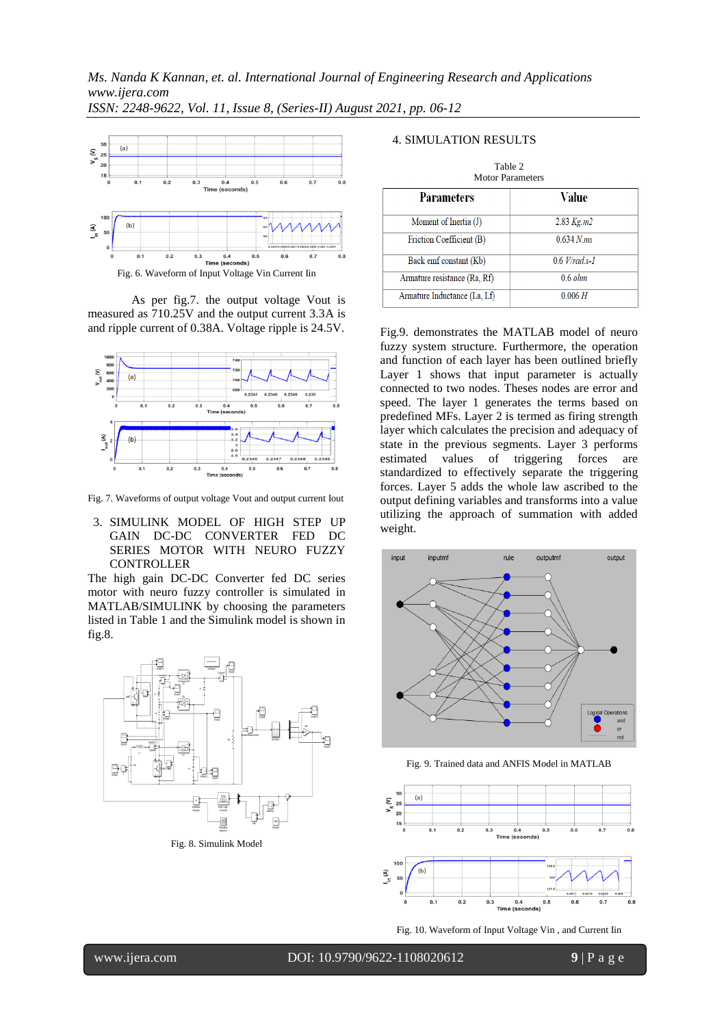

As per fig.7. the output voltage Vout is measured as 710.25V and the output current 3.3A is and ripple current of 0.38A. Voltage ripple is 24.5V.



Fig. 7. Waveforms of output voltage Vout and output current Iout

3. SIMULINK MODEL OF HIGH STEP UP GAIN DC-DC CONVERTER FED DC SERIES MOTOR WITH NEURO FUZZY CONTROLLER

The high gain DC-DC Converter fed DC series motor with neuro fuzzy controller is simulated in MATLAB/SIMULINK by choosing the parameters listed in Table 1 and the Simulink model is shown in fig.8.



Fig. 8. Simulink Model

## 4. SIMULATION RESULTS

| Table 2<br><b>Motor Parameters</b> |                   |  |  |  |  |
|------------------------------------|-------------------|--|--|--|--|
| <b>Parameters</b>                  | Value             |  |  |  |  |
| Moment of Inertia (J)              | 2.83 Kg.m2        |  |  |  |  |
| Friction Coefficient (B)           | $0.634 N$ .ms     |  |  |  |  |
| Back emf constant (Kb)             | $0.6$ V/rad.s-1   |  |  |  |  |
| Armature resistance (Ra, Rf)       | $0.6 \text{ ohm}$ |  |  |  |  |
| Armature Inductance (La, Lf)       | 0.006 H           |  |  |  |  |

Fig.9. demonstrates the MATLAB model of neuro fuzzy system structure. Furthermore, the operation and function of each layer has been outlined briefly Layer 1 shows that input parameter is actually connected to two nodes. Theses nodes are error and speed. The layer 1 generates the terms based on predefined MFs. Layer 2 is termed as firing strength layer which calculates the precision and adequacy of state in the previous segments. Layer 3 performs estimated values of triggering forces are standardized to effectively separate the triggering forces. Layer 5 adds the whole law ascribed to the output defining variables and transforms into a value utilizing the approach of summation with added weight.



Fig. 9. Trained data and ANFIS Model in MATLAB



Fig. 10. Waveform of Input Voltage Vin , and Current Iin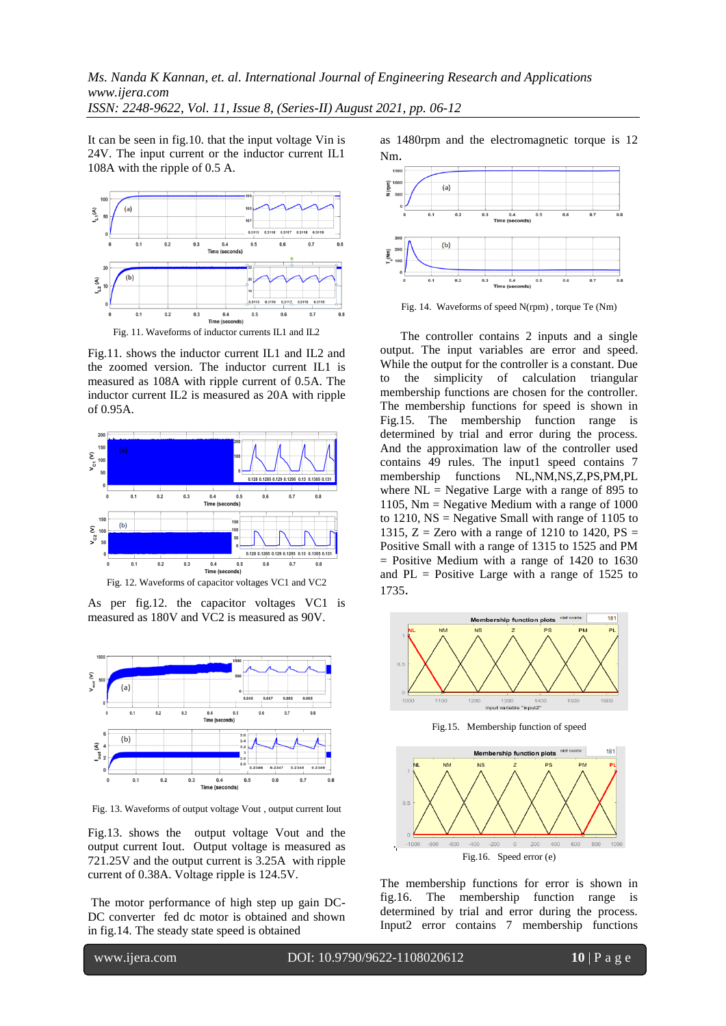It can be seen in fig.10. that the input voltage Vin is 24V. The input current or the inductor current IL1 108A with the ripple of 0.5 A.



Fig.11. shows the inductor current IL1 and IL2 and the zoomed version. The inductor current IL1 is measured as 108A with ripple current of 0.5A. The inductor current IL2 is measured as 20A with ripple of 0.95A.



Fig. 12. Waveforms of capacitor voltages VC1 and VC2

As per fig.12. the capacitor voltages VC1 is measured as 180V and VC2 is measured as 90V.



Fig. 13. Waveforms of output voltage Vout , output current Iout

Fig.13. shows the output voltage Vout and the output current Iout. Output voltage is measured as 721.25V and the output current is 3.25A with ripple current of 0.38A. Voltage ripple is 124.5V.

The motor performance of high step up gain DC-DC converter fed dc motor is obtained and shown in fig.14. The steady state speed is obtained

as 1480rpm and the electromagnetic torque is 12 Nm.



Fig. 14. Waveforms of speed N(rpm) , torque Te (Nm)

 The controller contains 2 inputs and a single output. The input variables are error and speed. While the output for the controller is a constant. Due to the simplicity of calculation triangular membership functions are chosen for the controller. The membership functions for speed is shown in Fig.15. The membership function range is determined by trial and error during the process. And the approximation law of the controller used contains 49 rules. The input1 speed contains 7 membership functions NL,NM,NS,Z,PS,PM,PL where  $NL = Negative Large with a range of 895 to$ 1105, Nm = Negative Medium with a range of 1000 to 1210,  $NS = Negative Small with range of 1105 to$ 1315,  $Z =$  Zero with a range of 1210 to 1420,  $PS =$ Positive Small with a range of 1315 to 1525 and PM = Positive Medium with a range of 1420 to 1630 and  $PL = Positive Large with a range of 1525 to$ 1735.



Fig.15. Membership function of speed



The membership functions for error is shown in fig.16. The membership function range is determined by trial and error during the process. Input2 error contains 7 membership functions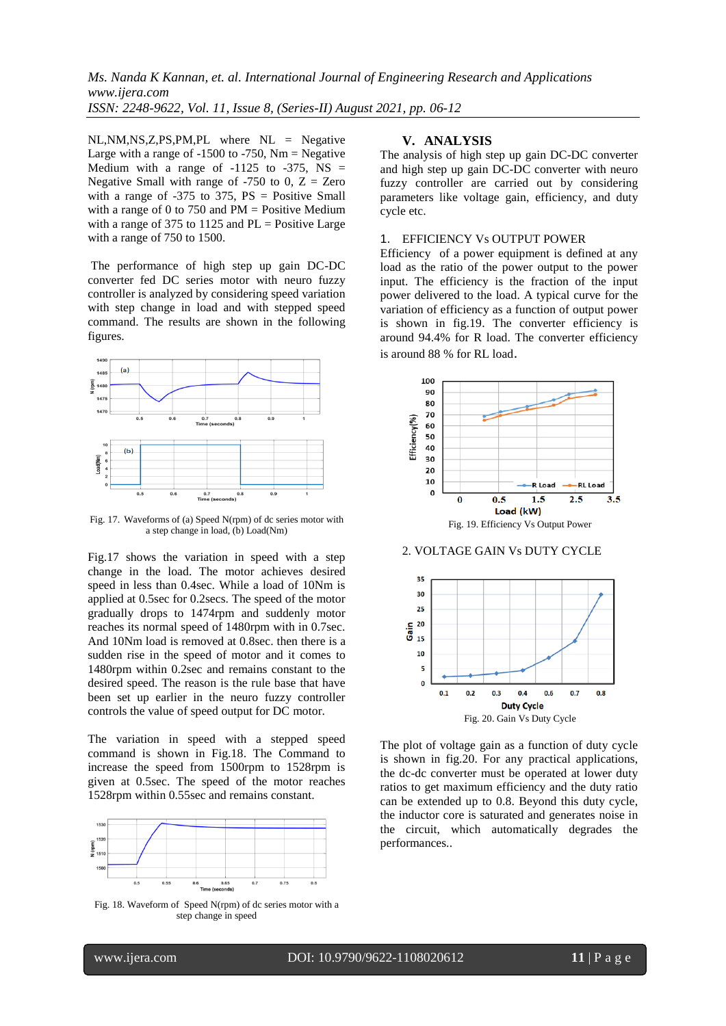NL,NM,NS,Z,PS,PM,PL where NL = Negative Large with a range of  $-1500$  to  $-750$ , Nm = Negative Medium with a range of  $-1125$  to  $-375$ , NS = Negative Small with range of  $-750$  to 0,  $Z = Zero$ with a range of  $-375$  to  $375$ ,  $PS = Positive Small$ with a range of 0 to 750 and  $PM = Positive Medium$ with a range of 375 to 1125 and  $PL = Positive Large$ with a range of 750 to 1500.

The performance of high step up gain DC-DC converter fed DC series motor with neuro fuzzy controller is analyzed by considering speed variation with step change in load and with stepped speed command. The results are shown in the following figures.



Fig. 17. Waveforms of (a) Speed N(rpm) of dc series motor with a step change in load, (b) Load(Nm)

Fig.17 shows the variation in speed with a step change in the load. The motor achieves desired speed in less than 0.4sec. While a load of 10Nm is applied at 0.5sec for 0.2secs. The speed of the motor gradually drops to 1474rpm and suddenly motor reaches its normal speed of 1480rpm with in 0.7sec. And 10Nm load is removed at 0.8sec. then there is a sudden rise in the speed of motor and it comes to 1480rpm within 0.2sec and remains constant to the desired speed. The reason is the rule base that have been set up earlier in the neuro fuzzy controller controls the value of speed output for DC motor.

The variation in speed with a stepped speed command is shown in Fig.18. The Command to increase the speed from 1500rpm to 1528rpm is given at 0.5sec. The speed of the motor reaches 1528rpm within 0.55sec and remains constant.



Fig. 18. Waveform of Speed N(rpm) of dc series motor with a step change in speed

## **V. ANALYSIS**

The analysis of high step up gain DC-DC converter and high step up gain DC-DC converter with neuro fuzzy controller are carried out by considering parameters like voltage gain, efficiency, and duty cycle etc.

#### 1. EFFICIENCY Vs OUTPUT POWER

Efficiency of a power equipment is defined at any load as the ratio of the power output to the power input. The efficiency is the fraction of the input power delivered to the load. A typical curve for the variation of efficiency as a function of output power is shown in fig.19. The converter efficiency is around 94.4% for R load. The converter efficiency is around 88 % for RL load.



#### 2. VOLTAGE GAIN Vs DUTY CYCLE



The plot of voltage gain as a function of duty cycle is shown in fig.20. For any practical applications, the dc-dc converter must be operated at lower duty ratios to get maximum efficiency and the duty ratio can be extended up to 0.8. Beyond this duty cycle, the inductor core is saturated and generates noise in the circuit, which automatically degrades the performances..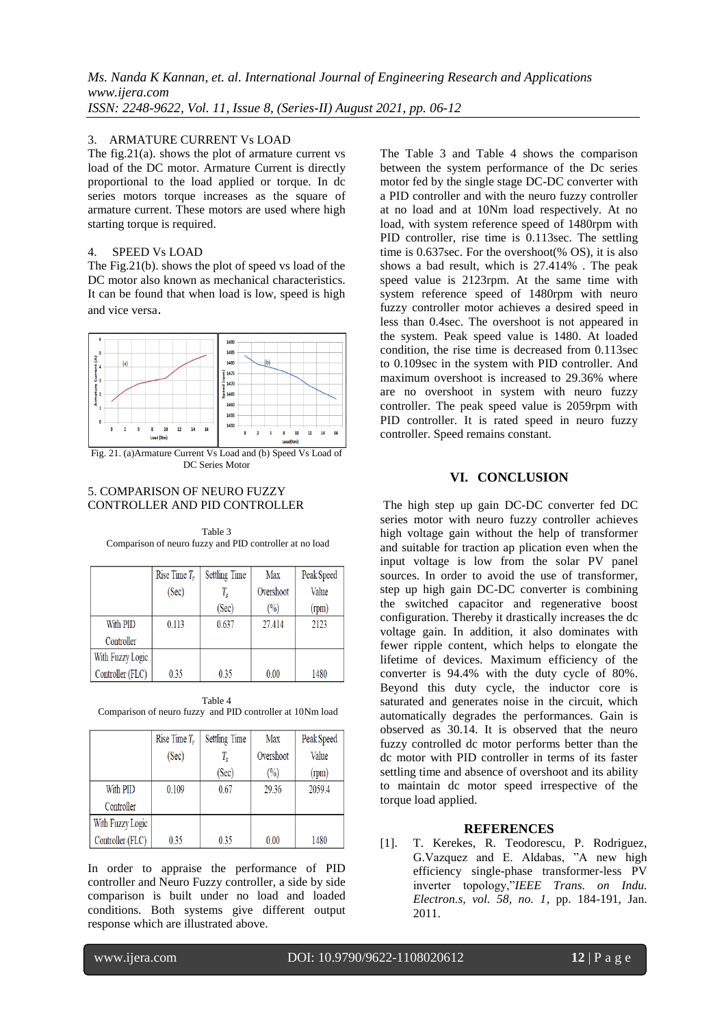## 3. ARMATURE CURRENT Vs LOAD

The fig.21(a). shows the plot of armature current vs load of the DC motor. Armature Current is directly proportional to the load applied or torque. In dc series motors torque increases as the square of armature current. These motors are used where high starting torque is required.

## 4. SPEED Vs LOAD

The Fig.21(b). shows the plot of speed vs load of the DC motor also known as mechanical characteristics. It can be found that when load is low, speed is high and vice versa.



Fig. 21. (a)Armature Current Vs Load and (b) Speed Vs Load of DC Series Motor

## 5. COMPARISON OF NEURO FUZZY CONTROLLER AND PID CONTROLLER

|                  | Rise Time $T_r$ | <b>Settling Time</b> | <b>Max</b>     | Peak Speed |
|------------------|-----------------|----------------------|----------------|------------|
|                  | (Sec)           | T,                   | Overshoot      | Value      |
|                  |                 | (Sec)                | $\binom{0}{0}$ | (rpm)      |
| With PID         | 0.113           | 0.637                | 27.414         | 2123       |
| Controller       |                 |                      |                |            |
| With Fuzzy Logic |                 |                      |                |            |
| Controller (FLC) | 0.35            | 0.35                 | 0.00           | 1480       |

Table 3 Comparison of neuro fuzzy and PID controller at no load

Table 4 Comparison of neuro fuzzy and PID controller at 10Nm load

|                  | Rise Time $T_r$ | <b>Settling Time</b> | Max            | Peak Speed |
|------------------|-----------------|----------------------|----------------|------------|
|                  | (Sec)           | $T_{s}$              | Overshoot      | Value      |
|                  |                 | (Sec)                | $\binom{0}{0}$ | (rpm)      |
| With PID         | 0.109           | 0.67                 | 29.36          | 2059.4     |
| Controller       |                 |                      |                |            |
| With Fuzzy Logic |                 |                      |                |            |
| Controller (FLC) | 0.35            | 0.35                 | 0.00           | 1480       |

In order to appraise the performance of PID controller and Neuro Fuzzy controller, a side by side comparison is built under no load and loaded conditions. Both systems give different output response which are illustrated above.

The Table 3 and Table 4 shows the comparison between the system performance of the Dc series motor fed by the single stage DC-DC converter with a PID controller and with the neuro fuzzy controller at no load and at 10Nm load respectively. At no load, with system reference speed of 1480rpm with PID controller, rise time is 0.113sec. The settling time is 0.637sec. For the overshoot(% OS), it is also shows a bad result, which is 27.414% . The peak speed value is 2123rpm. At the same time with system reference speed of 1480rpm with neuro fuzzy controller motor achieves a desired speed in less than 0.4sec. The overshoot is not appeared in the system. Peak speed value is 1480. At loaded condition, the rise time is decreased from 0.113sec to 0.109sec in the system with PID controller. And maximum overshoot is increased to 29.36% where are no overshoot in system with neuro fuzzy controller. The peak speed value is 2059rpm with PID controller. It is rated speed in neuro fuzzy controller. Speed remains constant.

## **VI. CONCLUSION**

The high step up gain DC-DC converter fed DC series motor with neuro fuzzy controller achieves high voltage gain without the help of transformer and suitable for traction ap plication even when the input voltage is low from the solar PV panel sources. In order to avoid the use of transformer, step up high gain DC-DC converter is combining the switched capacitor and regenerative boost configuration. Thereby it drastically increases the dc voltage gain. In addition, it also dominates with fewer ripple content, which helps to elongate the lifetime of devices. Maximum efficiency of the converter is 94.4% with the duty cycle of 80%. Beyond this duty cycle, the inductor core is saturated and generates noise in the circuit, which automatically degrades the performances. Gain is observed as 30.14. It is observed that the neuro fuzzy controlled dc motor performs better than the dc motor with PID controller in terms of its faster settling time and absence of overshoot and its ability to maintain dc motor speed irrespective of the torque load applied.

#### **REFERENCES**

[1]. T. Kerekes, R. Teodorescu, P. Rodriguez, G.Vazquez and E. Aldabas, "A new high efficiency single-phase transformer-less PV inverter topology,"*IEEE Trans. on Indu. Electron.s, vol. 58, no. 1*, pp. 184-191, Jan. 2011.